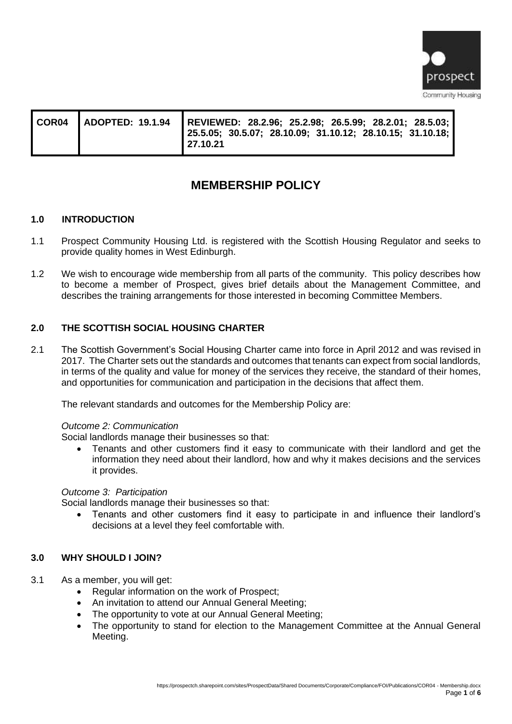

| COR04 | ADOPTED: 19.1.94   REVIEWED: 28.2.96; 25.2.98; 26.5.99; 28.2.01; 28.5.03;  <br>$\vert$ 25.5.05; 30.5.07; 28.10.09; 31.10.12; 28.10.15; 31.10.18; $\vert$<br>l 27.10.21 |
|-------|------------------------------------------------------------------------------------------------------------------------------------------------------------------------|
|       |                                                                                                                                                                        |

# **MEMBERSHIP POLICY**

## **1.0 INTRODUCTION**

- 1.1 Prospect Community Housing Ltd. is registered with the Scottish Housing Regulator and seeks to provide quality homes in West Edinburgh.
- 1.2 We wish to encourage wide membership from all parts of the community. This policy describes how to become a member of Prospect, gives brief details about the Management Committee, and describes the training arrangements for those interested in becoming Committee Members.

# **2.0 THE SCOTTISH SOCIAL HOUSING CHARTER**

2.1 The Scottish Government's Social Housing Charter came into force in April 2012 and was revised in 2017. The Charter sets out the standards and outcomes that tenants can expect from social landlords, in terms of the quality and value for money of the services they receive, the standard of their homes, and opportunities for communication and participation in the decisions that affect them.

The relevant standards and outcomes for the Membership Policy are:

#### *Outcome 2: Communication*

Social landlords manage their businesses so that:

• Tenants and other customers find it easy to communicate with their landlord and get the information they need about their landlord, how and why it makes decisions and the services it provides.

#### *Outcome 3: Participation*

Social landlords manage their businesses so that:

• Tenants and other customers find it easy to participate in and influence their landlord's decisions at a level they feel comfortable with.

#### **3.0 WHY SHOULD I JOIN?**

- 3.1 As a member, you will get:
	- Regular information on the work of Prospect;
	- An invitation to attend our Annual General Meeting;
	- The opportunity to vote at our Annual General Meeting;
	- The opportunity to stand for election to the Management Committee at the Annual General Meeting.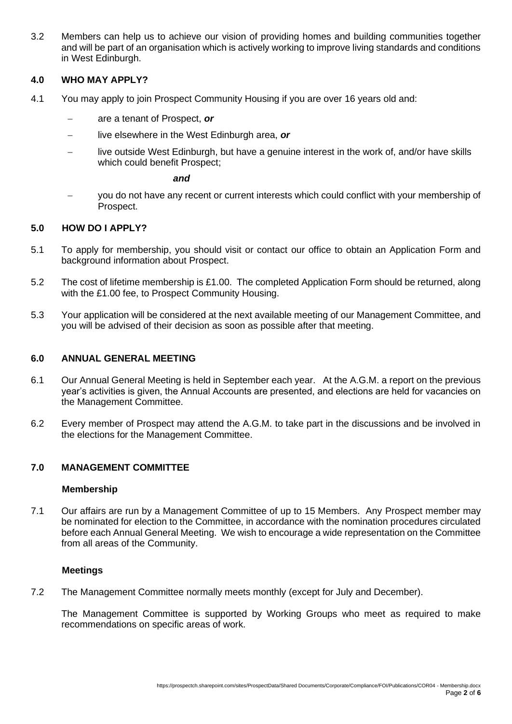3.2 Members can help us to achieve our vision of providing homes and building communities together and will be part of an organisation which is actively working to improve living standards and conditions in West Edinburgh.

#### **4.0 WHO MAY APPLY?**

- 4.1 You may apply to join Prospect Community Housing if you are over 16 years old and:
	- − are a tenant of Prospect, *or*
	- − live elsewhere in the West Edinburgh area, *or*
	- live outside West Edinburgh, but have a genuine interest in the work of, and/or have skills which could benefit Prospect;

 *and*

you do not have any recent or current interests which could conflict with your membership of Prospect.

#### **5.0 HOW DO I APPLY?**

- 5.1 To apply for membership, you should visit or contact our office to obtain an Application Form and background information about Prospect.
- 5.2 The cost of lifetime membership is £1.00. The completed Application Form should be returned, along with the £1.00 fee, to Prospect Community Housing.
- 5.3 Your application will be considered at the next available meeting of our Management Committee, and you will be advised of their decision as soon as possible after that meeting.

#### **6.0 ANNUAL GENERAL MEETING**

- 6.1 Our Annual General Meeting is held in September each year. At the A.G.M. a report on the previous year's activities is given, the Annual Accounts are presented, and elections are held for vacancies on the Management Committee.
- 6.2 Every member of Prospect may attend the A.G.M. to take part in the discussions and be involved in the elections for the Management Committee.

#### **7.0 MANAGEMENT COMMITTEE**

#### **Membership**

7.1 Our affairs are run by a Management Committee of up to 15 Members. Any Prospect member may be nominated for election to the Committee, in accordance with the nomination procedures circulated before each Annual General Meeting. We wish to encourage a wide representation on the Committee from all areas of the Community.

#### **Meetings**

7.2 The Management Committee normally meets monthly (except for July and December).

The Management Committee is supported by Working Groups who meet as required to make recommendations on specific areas of work.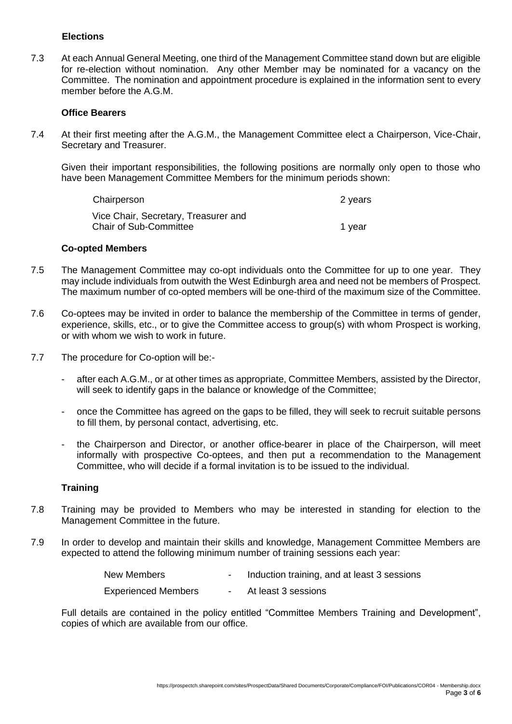#### **Elections**

7.3 At each Annual General Meeting, one third of the Management Committee stand down but are eligible for re-election without nomination. Any other Member may be nominated for a vacancy on the Committee. The nomination and appointment procedure is explained in the information sent to every member before the A.G.M.

#### **Office Bearers**

7.4 At their first meeting after the A.G.M., the Management Committee elect a Chairperson, Vice-Chair, Secretary and Treasurer.

Given their important responsibilities, the following positions are normally only open to those who have been Management Committee Members for the minimum periods shown:

| Chairperson                          | 2 years |
|--------------------------------------|---------|
| Vice Chair, Secretary, Treasurer and |         |
| <b>Chair of Sub-Committee</b>        | 1 year  |

#### **Co-opted Members**

- 7.5 The Management Committee may co-opt individuals onto the Committee for up to one year. They may include individuals from outwith the West Edinburgh area and need not be members of Prospect. The maximum number of co-opted members will be one-third of the maximum size of the Committee.
- 7.6 Co-optees may be invited in order to balance the membership of the Committee in terms of gender, experience, skills, etc., or to give the Committee access to group(s) with whom Prospect is working, or with whom we wish to work in future.
- 7.7 The procedure for Co-option will be:-
	- after each A.G.M., or at other times as appropriate, Committee Members, assisted by the Director, will seek to identify gaps in the balance or knowledge of the Committee;
	- once the Committee has agreed on the gaps to be filled, they will seek to recruit suitable persons to fill them, by personal contact, advertising, etc.
	- the Chairperson and Director, or another office-bearer in place of the Chairperson, will meet informally with prospective Co-optees, and then put a recommendation to the Management Committee, who will decide if a formal invitation is to be issued to the individual.

#### **Training**

- 7.8 Training may be provided to Members who may be interested in standing for election to the Management Committee in the future.
- 7.9 In order to develop and maintain their skills and knowledge, Management Committee Members are expected to attend the following minimum number of training sessions each year:

| New Members                | Induction training, and at least 3 sessions |
|----------------------------|---------------------------------------------|
| <b>Experienced Members</b> | At least 3 sessions                         |

Full details are contained in the policy entitled "Committee Members Training and Development", copies of which are available from our office.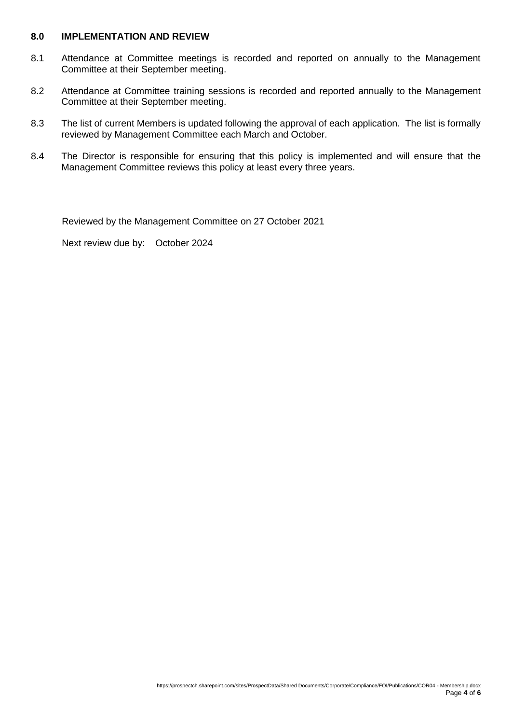#### **8.0 IMPLEMENTATION AND REVIEW**

- 8.1 Attendance at Committee meetings is recorded and reported on annually to the Management Committee at their September meeting.
- 8.2 Attendance at Committee training sessions is recorded and reported annually to the Management Committee at their September meeting.
- 8.3 The list of current Members is updated following the approval of each application. The list is formally reviewed by Management Committee each March and October.
- 8.4 The Director is responsible for ensuring that this policy is implemented and will ensure that the Management Committee reviews this policy at least every three years.

Reviewed by the Management Committee on 27 October 2021

Next review due by: October 2024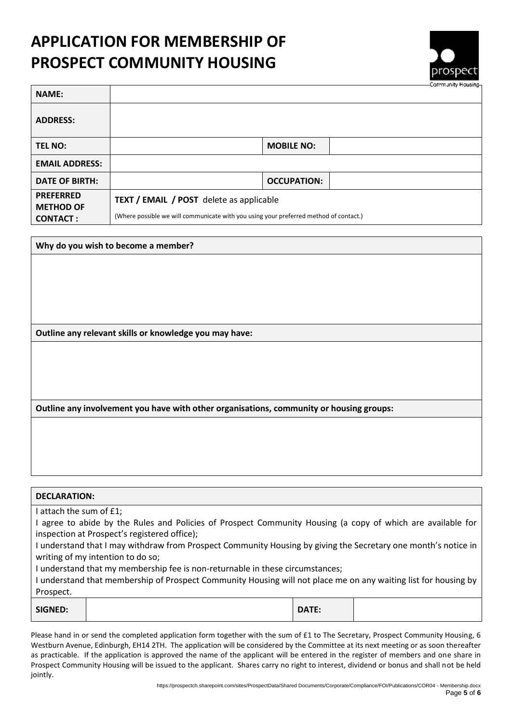# **APPLICATION FOR MEMBERSHIP OF PROSPECT COMMUNITY HOUSING**



| <b>NAME:</b>                                            |                                                                                                                                          |                    | <b>COLLINATION HARASHIN</b> |
|---------------------------------------------------------|------------------------------------------------------------------------------------------------------------------------------------------|--------------------|-----------------------------|
| <b>ADDRESS:</b>                                         |                                                                                                                                          |                    |                             |
| <b>TEL NO:</b>                                          |                                                                                                                                          | <b>MOBILE NO:</b>  |                             |
| <b>EMAIL ADDRESS:</b>                                   |                                                                                                                                          |                    |                             |
| <b>DATE OF BIRTH:</b>                                   |                                                                                                                                          | <b>OCCUPATION:</b> |                             |
| <b>PREFERRED</b><br><b>METHOD OF</b><br><b>CONTACT:</b> | <b>TEXT / EMAIL / POST</b> delete as applicable<br>(Where possible we will communicate with you using your preferred method of contact.) |                    |                             |

**Why do you wish to become a member?**

**Outline any relevant skills or knowledge you may have:**

**Outline any involvement you have with other organisations, community or housing groups:**

| <b>DECLARATION:</b> |
|---------------------|
|---------------------|

I attach the sum of £1;

I agree to abide by the Rules and Policies of Prospect Community Housing (a copy of which are available for inspection at Prospect's registered office);

I understand that I may withdraw from Prospect Community Housing by giving the Secretary one month's notice in writing of my intention to do so;

I understand that my membership fee is non-returnable in these circumstances;

I understand that membership of Prospect Community Housing will not place me on any waiting list for housing by Prospect.

| <b>SIGNED:</b> |  | <b>DATE:</b> |  |
|----------------|--|--------------|--|
|----------------|--|--------------|--|

Please hand in or send the completed application form together with the sum of £1 to The Secretary, Prospect Community Housing, 6 Westburn Avenue, Edinburgh, EH14 2TH. The application will be considered by the Committee at its next meeting or as soon thereafter as practicable. If the application is approved the name of the applicant will be entered in the register of members and one share in Prospect Community Housing will be issued to the applicant. Shares carry no right to interest, dividend or bonus and shall not be held jointly.